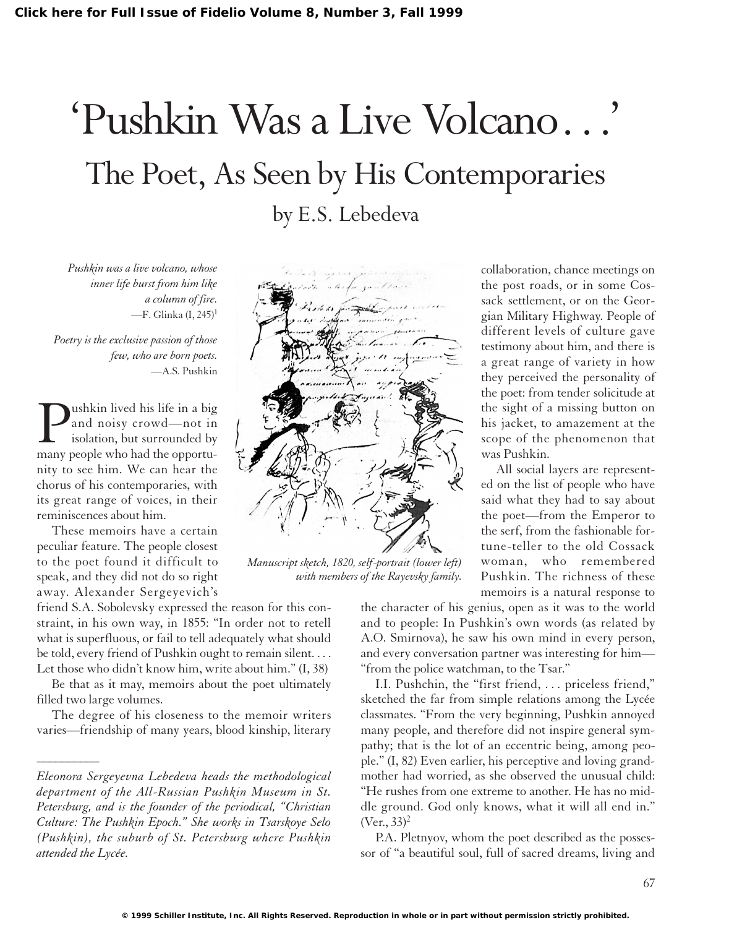## 'Pushkin Was a Live Volcano... The Poet, As Seen by His Contemporaries by E.S. Lebedeva

*Pushkin was a live volcano, whose inner life burst from him like a column of fire.* —F. Glinka  $(I, 245)^1$ 

*Poetry is the exclusive passion of those few, who are born poets.* —A.S. Pushkin

**Pushkin lived his life in a big**<br>and noisy crowd—not in<br>isolation, but surrounded by<br>many people who had the opportuand noisy crowd—not in isolation, but surrounded by many people who had the opportunity to see him. We can hear the chorus of his contemporaries, with its great range of voices, in their reminiscences about him.

These memoirs have a certain peculiar feature. The people closest to the poet found it difficult to speak, and they did not do so right away. Alexander Sergeyevich's

––––––––––

friend S.A. Sobolevsky expressed the reason for this constraint, in his own way, in 1855: "In order not to retell what is superfluous, or fail to tell adequately what should be told, every friend of Pushkin ought to remain silent. . . . Let those who didn't know him, write about him." (I, 38)

Be that as it may, memoirs about the poet ultimately filled two large volumes.

The degree of his closeness to the memoir writers varies—friendship of many years, blood kinship, literary



*Manuscript sketch, 1820, self-portrait (lower left) with members of the Rayevsky family.*

the post roads, or in some Cossack settlement, or on the Georgian Military Highway. People of different levels of culture gave testimony about him, and there is a great range of variety in how they perceived the personality of the poet: from tender solicitude at the sight of a missing button on his jacket, to amazement at the scope of the phenomenon that was Pushkin.

collaboration, chance meetings on

All social layers are represented on the list of people who have said what they had to say about the poet—from the Emperor to the serf, from the fashionable fortune-teller to the old Cossack woman, who remembered Pushkin. The richness of these memoirs is a natural response to

the character of his genius, open as it was to the world and to people: In Pushkin's own words (as related by A.O. Smirnova), he saw his own mind in every person, and every conversation partner was interesting for him— "from the police watchman, to the Tsar."

I.I. Pushchin, the "first friend, . . . priceless friend," sketched the far from simple relations among the Lycée classmates. "From the very beginning, Pushkin annoyed many people, and therefore did not inspire general sympathy; that is the lot of an eccentric being, among people." (I, 82) Even earlier, his perceptive and loving grandmother had worried, as she observed the unusual child: "He rushes from one extreme to another. He has no middle ground. God only knows, what it will all end in."  $(Ver., 33)<sup>2</sup>$ 

P.A. Pletnyov, whom the poet described as the possessor of "a beautiful soul, full of sacred dreams, living and

*Eleonora Sergeyevna Lebedeva heads the methodological department of the All-Russian Pushkin Museum in St. Petersburg, and is the founder of the periodical, "Christian Culture: The Pushkin Epoch." She works in Tsarskoye Selo (Pushkin), the suburb of St. Petersburg where Pushkin attended the Lycée.*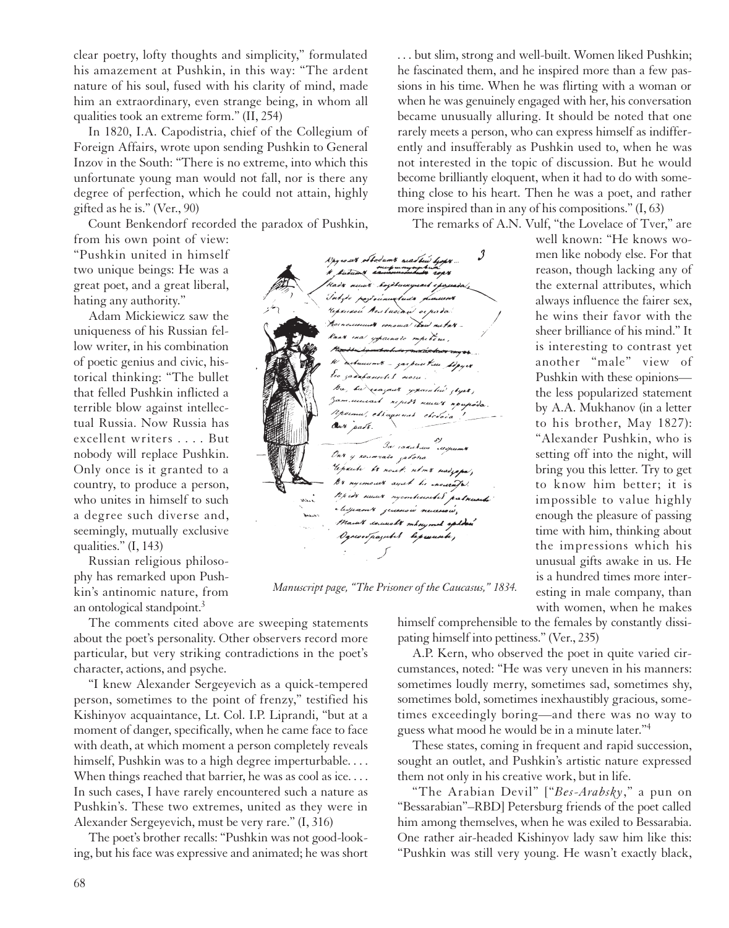clear poetry, lofty thoughts and simplicity," formulated his amazement at Pushkin, in this way: "The ardent nature of his soul, fused with his clarity of mind, made him an extraordinary, even strange being, in whom all qualities took an extreme form." (II, 254)

In 1820, I.A. Capodistria, chief of the Collegium of Foreign Affairs, wrote upon sending Pushkin to General Inzov in the South: "There is no extreme, into which this unfortunate young man would not fall, nor is there any degree of perfection, which he could not attain, highly gifted as he is." (Ver., 90)

Count Benkendorf recorded the paradox of Pushkin,

from his own point of view: "Pushkin united in himself two unique beings: He was a great poet, and a great liberal, hating any authority."

Adam Mickiewicz saw the uniqueness of his Russian fellow writer, in his combination of poetic genius and civic, historical thinking: "The bullet that felled Pushkin inflicted a terrible blow against intellectual Russia. Now Russia has excellent writers . . . . But nobody will replace Pushkin. Only once is it granted to a country, to produce a person, who unites in himself to such a degree such diverse and, seemingly, mutually exclusive qualities." (I, 143)

Russian religious philosophy has remarked upon Pushkin's antinomic nature, from an ontological standpoint.3

The comments cited above are sweeping statements about the poet's personality. Other observers record more particular, but very striking contradictions in the poet's character, actions, and psyche.

"I knew Alexander Sergeyevich as a quick-tempered person, sometimes to the point of frenzy," testified his Kishinyov acquaintance, Lt. Col. I.P. Liprandi, "but at a moment of danger, specifically, when he came face to face with death, at which moment a person completely reveals himself, Pushkin was to a high degree imperturbable. . . . When things reached that barrier, he was as cool as ice.... In such cases, I have rarely encountered such a nature as Pushkin's. These two extremes, united as they were in Alexander Sergeyevich, must be very rare." (I, 316)

The poet's brother recalls: "Pushkin was not good-looking, but his face was expressive and animated; he was short . . . but slim, strong and well-built. Women liked Pushkin; he fascinated them, and he inspired more than a few passions in his time. When he was flirting with a woman or when he was genuinely engaged with her, his conversation became unusually alluring. It should be noted that one rarely meets a person, who can express himself as indifferently and insufferably as Pushkin used to, when he was not interested in the topic of discussion. But he would become brilliantly eloquent, when it had to do with something close to his heart. Then he was a poet, and rather more inspired than in any of his compositions." (I, 63)

The remarks of A.N. Vulf, "the Lovelace of Tver," are

 $\mathcal{I}$ 

well known: "He knows women like nobody else. For that reason, though lacking any of the external attributes, which always influence the fairer sex, he wins their favor with the sheer brilliance of his mind." It is interesting to contrast yet another "male" view of Pushkin with these opinions the less popularized statement by A.A. Mukhanov (in a letter to his brother, May 1827): "Alexander Pushkin, who is setting off into the night, will bring you this letter. Try to get to know him better; it is impossible to value highly enough the pleasure of passing time with him, thinking about the impressions which his unusual gifts awake in us. He is a hundred times more interesting in male company, than with women, when he makes

*Manuscript page, "The Prisoner of the Caucasus," 1834.*

himself comprehensible to the females by constantly dissipating himself into pettiness." (Ver., 235)

A.P. Kern, who observed the poet in quite varied circumstances, noted: "He was very uneven in his manners: sometimes loudly merry, sometimes sad, sometimes shy, sometimes bold, sometimes inexhaustibly gracious, sometimes exceedingly boring—and there was no way to guess what mood he would be in a minute later."4

These states, coming in frequent and rapid succession, sought an outlet, and Pushkin's artistic nature expressed them not only in his creative work, but in life.

"The Arabian Devil" ["*Bes-Arabsky*," a pun on "Bessarabian"–RBD] Petersburg friends of the poet called him among themselves, when he was exiled to Bessarabia. One rather air-headed Kishinyov lady saw him like this: "Pushkin was still very young. He wasn't exactly black,

1 katamb anupumpapk Hadr muur bojdhumysaid episu Tutzle postoimmetado promeno repressor Montuoine or perda. Soinouseum sonoma itais nutarlaar ina yopainate mpiboue, W achumumit - jaspeinten Apyer tro gandametet nom. Be , be reagant yopainted , byes , Jammuusud nipide nuuve npupola. Rpormul, essagement chodoia Our pass. -<br>- 3a canad am casgaime Our y xourerate zaboria. repairs to nout it mo madjopa, B& nyemous aget he secured Rp iss neues nyembeauters palmande · lujiam's juissa muussa, Mauch counselt mhoymed splace Ogress payabel bepresente,

Rayrout atbodumt and buil hope.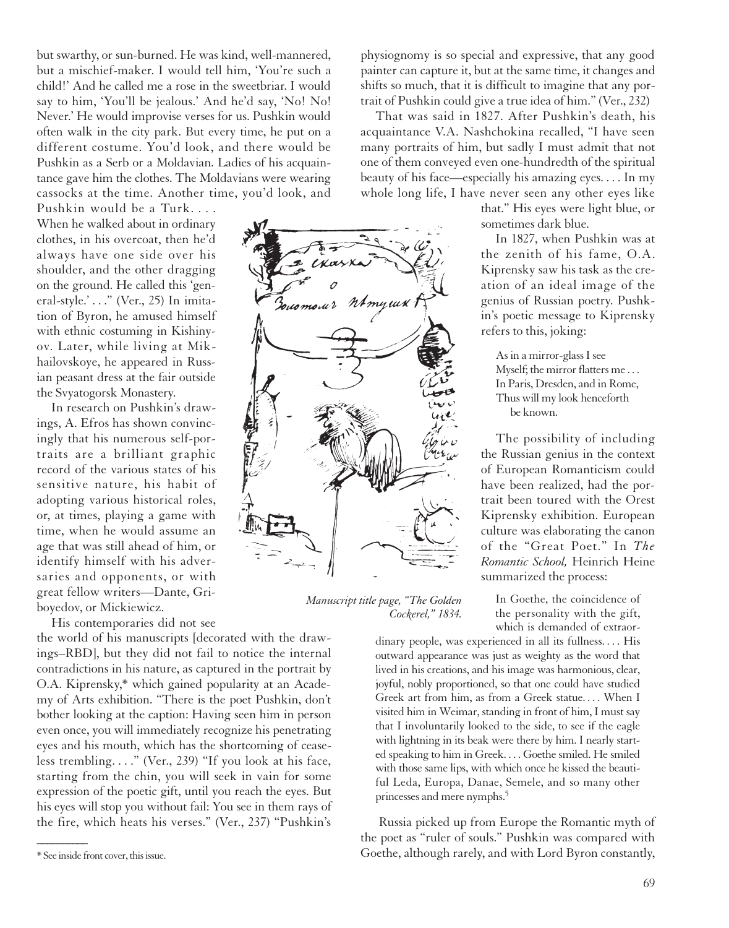but swarthy, or sun-burned. He was kind, well-mannered, but a mischief-maker. I would tell him, 'You're such a child!' And he called me a rose in the sweetbriar. I would say to him, 'You'll be jealous.' And he'd say, 'No! No! Never.' He would improvise verses for us. Pushkin would often walk in the city park. But every time, he put on a different costume. You'd look, and there would be Pushkin as a Serb or a Moldavian. Ladies of his acquaintance gave him the clothes. The Moldavians were wearing cassocks at the time. Another time, you'd look, and

Pushkin would be a Turk. . . . When he walked about in ordinary clothes, in his overcoat, then he'd always have one side over his shoulder, and the other dragging on the ground. He called this 'general-style.' . . ." (Ver., 25) In imitation of Byron, he amused himself with ethnic costuming in Kishinyov. Later, while living at Mikhailovskoye, he appeared in Russian peasant dress at the fair outside the Svyatogorsk Monastery.

In research on Pushkin's drawings, A. Efros has shown convincingly that his numerous self-portraits are a brilliant graphic record of the various states of his sensitive nature, his habit of adopting various historical roles, or, at times, playing a game with time, when he would assume an age that was still ahead of him, or identify himself with his adversaries and opponents, or with great fellow writers—Dante, Griboyedov, or Mickiewicz.

His contemporaries did not see

the world of his manuscripts [decorated with the drawings–RBD], but they did not fail to notice the internal contradictions in his nature, as captured in the portrait by O.A. Kiprensky,\* which gained popularity at an Academy of Arts exhibition. "There is the poet Pushkin, don't bother looking at the caption: Having seen him in person even once, you will immediately recognize his penetrating eyes and his mouth, which has the shortcoming of ceaseless trembling. . . ." (Ver., 239) "If you look at his face, starting from the chin, you will seek in vain for some expression of the poetic gift, until you reach the eyes. But his eyes will stop you without fail: You see in them rays of the fire, which heats his verses." (Ver., 237) "Pushkin's

 $\overline{\phantom{a}}$ 

physiognomy is so special and expressive, that any good painter can capture it, but at the same time, it changes and shifts so much, that it is difficult to imagine that any portrait of Pushkin could give a true idea of him." (Ver., 232)

That was said in 1827. After Pushkin's death, his acquaintance V.A. Nashchokina recalled, "I have seen many portraits of him, but sadly I must admit that not one of them conveyed even one-hundredth of the spiritual beauty of his face—especially his amazing eyes. . . . In my whole long life, I have never seen any other eyes like

> that." His eyes were light blue, or sometimes dark blue.

In 1827, when Pushkin was at the zenith of his fame, O.A. Kiprensky saw his task as the creation of an ideal image of the genius of Russian poetry. Pushkin's poetic message to Kiprensky refers to this, joking:

As in a mirror-glass I see Myself; the mirror flatters me . . . In Paris, Dresden, and in Rome, Thus will my look henceforth be known.

The possibility of including the Russian genius in the context of European Romanticism could have been realized, had the portrait been toured with the Orest Kiprensky exhibition. European culture was elaborating the canon of the "Great Poet." In *The Romantic School,* Heinrich Heine summarized the process:

In Goethe, the coincidence of the personality with the gift, which is demanded of extraor-

dinary people, was experienced in all its fullness. ... His outward appearance was just as weighty as the word that lived in his creations, and his image was harmonious, clear, joyful, nobly proportioned, so that one could have studied Greek art from him, as from a Greek statue.... When I visited him in Weimar, standing in front of him, I must say that I involuntarily looked to the side, to see if the eagle with lightning in its beak were there by him. I nearly started speaking to him in Greek. . . . Goethe smiled. He smiled with those same lips, with which once he kissed the beautiful Leda, Europa, Danae, Semele, and so many other princesses and mere nymphs.<sup>5</sup>

Russia picked up from Europe the Romantic myth of the poet as "ruler of souls." Pushkin was compared with Goethe, although rarely, and with Lord Byron constantly,



*Manuscript title page, "The Golden Cockerel," 1834.*

<sup>\*</sup> See inside front cover, this issue.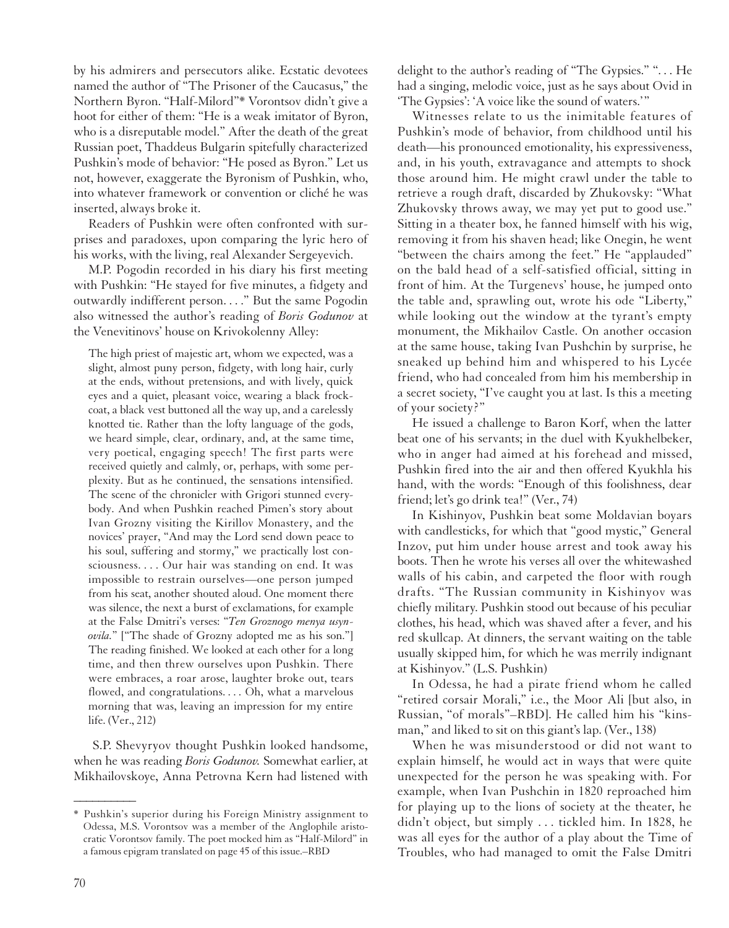by his admirers and persecutors alike. Ecstatic devotees named the author of "The Prisoner of the Caucasus," the Northern Byron. "Half-Milord"\* Vorontsov didn't give a hoot for either of them: "He is a weak imitator of Byron, who is a disreputable model." After the death of the great Russian poet, Thaddeus Bulgarin spitefully characterized Pushkin's mode of behavior: "He posed as Byron." Let us not, however, exaggerate the Byronism of Pushkin, who, into whatever framework or convention or cliché he was inserted, always broke it.

Readers of Pushkin were often confronted with surprises and paradoxes, upon comparing the lyric hero of his works, with the living, real Alexander Sergeyevich.

M.P. Pogodin recorded in his diary his first meeting with Pushkin: "He stayed for five minutes, a fidgety and outwardly indifferent person. . . ." But the same Pogodin also witnessed the author's reading of *Boris Godunov* at the Venevitinovs' house on Krivokolenny Alley:

The high priest of majestic art, whom we expected, was a slight, almost puny person, fidgety, with long hair, curly at the ends, without pretensions, and with lively, quick eyes and a quiet, pleasant voice, wearing a black frockcoat, a black vest buttoned all the way up, and a carelessly knotted tie. Rather than the lofty language of the gods, we heard simple, clear, ordinary, and, at the same time, very poetical, engaging speech! The first parts were received quietly and calmly, or, perhaps, with some perplexity. But as he continued, the sensations intensified. The scene of the chronicler with Grigori stunned everybody. And when Pushkin reached Pimen's story about Ivan Grozny visiting the Kirillov Monastery, and the novices' prayer, "And may the Lord send down peace to his soul, suffering and stormy," we practically lost consciousness. . . . Our hair was standing on end. It was impossible to restrain ourselves—one person jumped from his seat, another shouted aloud. One moment there was silence, the next a burst of exclamations, for example at the False Dmitri's verses: "*Ten Groznogo menya usynovila.*" ["The shade of Grozny adopted me as his son."] The reading finished. We looked at each other for a long time, and then threw ourselves upon Pushkin. There were embraces, a roar arose, laughter broke out, tears flowed, and congratulations.... Oh, what a marvelous morning that was, leaving an impression for my entire life. (Ver., 212)

S.P. Shevyryov thought Pushkin looked handsome, when he was reading *Boris Godunov.* Somewhat earlier, at Mikhailovskoye, Anna Petrovna Kern had listened with

\* Pushkin's superior during his Foreign Ministry assignment to Odessa, M.S. Vorontsov was a member of the Anglophile aristocratic Vorontsov family. The poet mocked him as "Half-Milord" in a famous epigram translated on page 45 of this issue.–RBD

delight to the author's reading of "The Gypsies." "... He had a singing, melodic voice, just as he says about Ovid in 'The Gypsies': 'A voice like the sound of waters.'"

Witnesses relate to us the inimitable features of Pushkin's mode of behavior, from childhood until his death—his pronounced emotionality, his expressiveness, and, in his youth, extravagance and attempts to shock those around him. He might crawl under the table to retrieve a rough draft, discarded by Zhukovsky: "What Zhukovsky throws away, we may yet put to good use." Sitting in a theater box, he fanned himself with his wig, removing it from his shaven head; like Onegin, he went "between the chairs among the feet." He "applauded" on the bald head of a self-satisfied official, sitting in front of him. At the Turgenevs' house, he jumped onto the table and, sprawling out, wrote his ode "Liberty," while looking out the window at the tyrant's empty monument, the Mikhailov Castle. On another occasion at the same house, taking Ivan Pushchin by surprise, he sneaked up behind him and whispered to his Lycée friend, who had concealed from him his membership in a secret society, "I've caught you at last. Is this a meeting of your society?"

He issued a challenge to Baron Korf, when the latter beat one of his servants; in the duel with Kyukhelbeker, who in anger had aimed at his forehead and missed, Pushkin fired into the air and then offered Kyukhla his hand, with the words: "Enough of this foolishness, dear friend; let's go drink tea!" (Ver., 74)

In Kishinyov, Pushkin beat some Moldavian boyars with candlesticks, for which that "good mystic," General Inzov, put him under house arrest and took away his boots. Then he wrote his verses all over the whitewashed walls of his cabin, and carpeted the floor with rough drafts. "The Russian community in Kishinyov was chiefly military. Pushkin stood out because of his peculiar clothes, his head, which was shaved after a fever, and his red skullcap. At dinners, the servant waiting on the table usually skipped him, for which he was merrily indignant at Kishinyov." (L.S. Pushkin)

In Odessa, he had a pirate friend whom he called "retired corsair Morali," i.e., the Moor Ali [but also, in Russian, "of morals"–RBD]. He called him his "kinsman," and liked to sit on this giant's lap. (Ver., 138)

When he was misunderstood or did not want to explain himself, he would act in ways that were quite unexpected for the person he was speaking with. For example, when Ivan Pushchin in 1820 reproached him for playing up to the lions of society at the theater, he didn't object, but simply . . . tickled him. In 1828, he was all eyes for the author of a play about the Time of Troubles, who had managed to omit the False Dmitri

 $\overline{\phantom{a}}$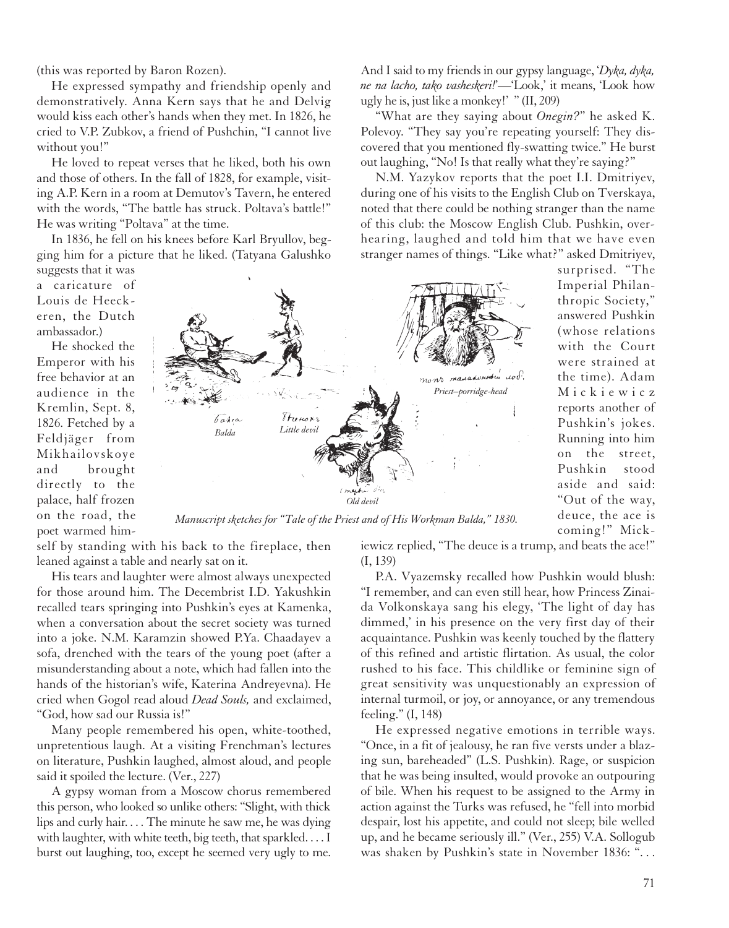(this was reported by Baron Rozen).

He expressed sympathy and friendship openly and demonstratively. Anna Kern says that he and Delvig would kiss each other's hands when they met. In 1826, he cried to V.P. Zubkov, a friend of Pushchin, "I cannot live without you!"

He loved to repeat verses that he liked, both his own and those of others. In the fall of 1828, for example, visiting A.P. Kern in a room at Demutov's Tavern, he entered with the words, "The battle has struck. Poltava's battle!" He was writing "Poltava" at the time.

In 1836, he fell on his knees before Karl Bryullov, begging him for a picture that he liked. (Tatyana Galushko

suggests that it was a caricature of Louis de Heeckeren, the Dutch ambassador.)

He shocked the Emperor with his free behavior at an audience in the Kremlin, Sept. 8, 1826. Fetched by a Feldjäger from Mikhailovskoye and brought directly to the palace, half frozen on the road, the poet warmed him-



*Manuscript sketches for "Tale of the Priest and of His Workman Balda," 1830.*

self by standing with his back to the fireplace, then leaned against a table and nearly sat on it.

His tears and laughter were almost always unexpected for those around him. The Decembrist I.D. Yakushkin recalled tears springing into Pushkin's eyes at Kamenka, when a conversation about the secret society was turned into a joke. N.M. Karamzin showed P.Ya. Chaadayev a sofa, drenched with the tears of the young poet (after a misunderstanding about a note, which had fallen into the hands of the historian's wife, Katerina Andreyevna). He cried when Gogol read aloud *Dead Souls,* and exclaimed, "God, how sad our Russia is!"

Many people remembered his open, white-toothed, unpretentious laugh. At a visiting Frenchman's lectures on literature, Pushkin laughed, almost aloud, and people said it spoiled the lecture. (Ver., 227)

A gypsy woman from a Moscow chorus remembered this person, who looked so unlike others: "Slight, with thick lips and curly hair. . . . The minute he saw me, he was dying with laughter, with white teeth, big teeth, that sparkled. . . . I burst out laughing, too, except he seemed very ugly to me. And I said to my friends in our gypsy language, '*Dyka, dyka, ne na lacho, tako vasheskeri!*'—'Look,' it means, 'Look how ugly he is, just like a monkey!' " (II, 209)

"What are they saying about *Onegin?*" he asked K. Polevoy. "They say you're repeating yourself: They discovered that you mentioned fly-swatting twice." He burst out laughing, "No! Is that really what they're saying?"

N.M. Yazykov reports that the poet I.I. Dmitriyev, during one of his visits to the English Club on Tverskaya, noted that there could be nothing stranger than the name of this club: the Moscow English Club. Pushkin, overhearing, laughed and told him that we have even stranger names of things. "Like what?" asked Dmitriyev,

surprised. "The Imperial Philanthropic Society," answered Pushkin (whose relations with the Court were strained at the time). Adam Mickiewicz reports another of Pushkin's jokes. Running into him on the street, Pushkin stood aside and said: "Out of the way, deuce, the ace is coming!" Mick-

iewicz replied, "The deuce is a trump, and beats the ace!" (I, 139)

P.A. Vyazemsky recalled how Pushkin would blush: "I remember, and can even still hear, how Princess Zinaida Volkonskaya sang his elegy, 'The light of day has dimmed,' in his presence on the very first day of their acquaintance. Pushkin was keenly touched by the flattery of this refined and artistic flirtation. As usual, the color rushed to his face. This childlike or feminine sign of great sensitivity was unquestionably an expression of internal turmoil, or joy, or annoyance, or any tremendous feeling." (I, 148)

He expressed negative emotions in terrible ways. "Once, in a fit of jealousy, he ran five versts under a blazing sun, bareheaded" (L.S. Pushkin). Rage, or suspicion that he was being insulted, would provoke an outpouring of bile. When his request to be assigned to the Army in action against the Turks was refused, he "fell into morbid despair, lost his appetite, and could not sleep; bile welled up, and he became seriously ill." (Ver., 255) V.A. Sollogub was shaken by Pushkin's state in November 1836: "...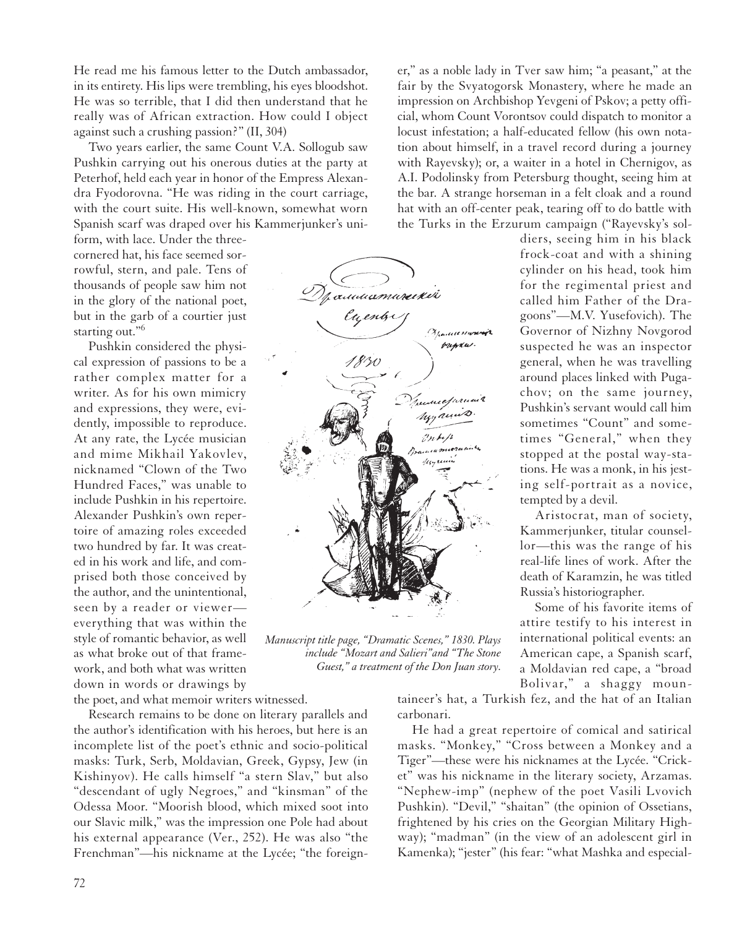He read me his famous letter to the Dutch ambassador, in its entirety. His lips were trembling, his eyes bloodshot. He was so terrible, that I did then understand that he really was of African extraction. How could I object against such a crushing passion?" (II, 304)

Two years earlier, the same Count V.A. Sollogub saw Pushkin carrying out his onerous duties at the party at Peterhof, held each year in honor of the Empress Alexandra Fyodorovna. "He was riding in the court carriage, with the court suite. His well-known, somewhat worn Spanish scarf was draped over his Kammerjunker's uni-

form, with lace. Under the threecornered hat, his face seemed sorrowful, stern, and pale. Tens of thousands of people saw him not in the glory of the national poet, but in the garb of a courtier just starting out."6

Pushkin considered the physical expression of passions to be a rather complex matter for a writer. As for his own mimicry and expressions, they were, evidently, impossible to reproduce. At any rate, the Lycée musician and mime Mikhail Yakovlev, nicknamed "Clown of the Two Hundred Faces," was unable to include Pushkin in his repertoire. Alexander Pushkin's own repertoire of amazing roles exceeded two hundred by far. It was created in his work and life, and comprised both those conceived by the author, and the unintentional, seen by a reader or viewer everything that was within the style of romantic behavior, as well as what broke out of that framework, and both what was written down in words or drawings by

the poet, and what memoir writers witnessed.

Research remains to be done on literary parallels and the author's identification with his heroes, but here is an incomplete list of the poet's ethnic and socio-political masks: Turk, Serb, Moldavian, Greek, Gypsy, Jew (in Kishinyov). He calls himself "a stern Slav," but also "descendant of ugly Negroes," and "kinsman" of the Odessa Moor. "Moorish blood, which mixed soot into our Slavic milk," was the impression one Pole had about his external appearance (Ver., 252). He was also "the Frenchman"—his nickname at the Lycée; "the foreigner," as a noble lady in Tver saw him; "a peasant," at the fair by the Svyatogorsk Monastery, where he made an impression on Archbishop Yevgeni of Pskov; a petty official, whom Count Vorontsov could dispatch to monitor a locust infestation; a half-educated fellow (his own notation about himself, in a travel record during a journey with Rayevsky); or, a waiter in a hotel in Chernigov, as A.I. Podolinsky from Petersburg thought, seeing him at the bar. A strange horseman in a felt cloak and a round hat with an off-center peak, tearing off to do battle with the Turks in the Erzurum campaign ("Rayevsky's sol-



*Manuscript title page, "Dramatic Scenes," 1830. Plays include "Mozart and Salieri"and "The Stone Guest," a treatment of the Don Juan story.*

diers, seeing him in his black frock-coat and with a shining cylinder on his head, took him for the regimental priest and called him Father of the Dragoons"—M.V. Yusefovich). The Governor of Nizhny Novgorod suspected he was an inspector general, when he was travelling around places linked with Pugachov; on the same journey, Pushkin's servant would call him sometimes "Count" and sometimes "General," when they stopped at the postal way-stations. He was a monk, in his jesting self-portrait as a novice, tempted by a devil.

Aristocrat, man of society, Kammerjunker, titular counsellor—this was the range of his real-life lines of work. After the death of Karamzin, he was titled Russia's historiographer.

Some of his favorite items of attire testify to his interest in international political events: an American cape, a Spanish scarf, a Moldavian red cape, a "broad Bolivar," a shaggy moun-

taineer's hat, a Turkish fez, and the hat of an Italian carbonari.

He had a great repertoire of comical and satirical masks. "Monkey," "Cross between a Monkey and a Tiger"—these were his nicknames at the Lycée. "Cricket" was his nickname in the literary society, Arzamas. "Nephew-imp" (nephew of the poet Vasili Lvovich Pushkin). "Devil," "shaitan" (the opinion of Ossetians, frightened by his cries on the Georgian Military Highway); "madman" (in the view of an adolescent girl in Kamenka); "jester" (his fear: "what Mashka and especial